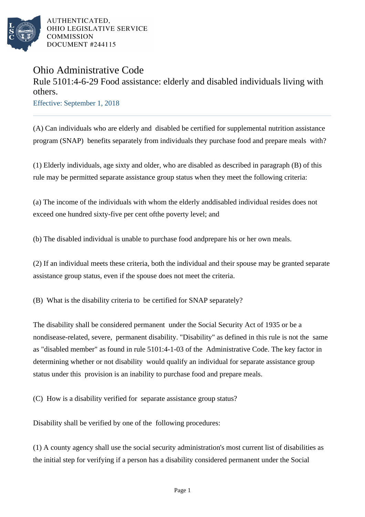

AUTHENTICATED, OHIO LEGISLATIVE SERVICE **COMMISSION** DOCUMENT #244115

## Ohio Administrative Code Rule 5101:4-6-29 Food assistance: elderly and disabled individuals living with others. Effective: September 1, 2018

(A) Can individuals who are elderly and disabled be certified for supplemental nutrition assistance program (SNAP) benefits separately from individuals they purchase food and prepare meals with?

(1) Elderly individuals, age sixty and older, who are disabled as described in paragraph (B) of this rule may be permitted separate assistance group status when they meet the following criteria:

(a) The income of the individuals with whom the elderly and disabled individual resides does not exceed one hundred sixty-five per cent of the poverty level; and

(b) The disabled individual is unable to purchase food and prepare his or her own meals.

(2) If an individual meets these criteria, both the individual and their spouse may be granted separate assistance group status, even if the spouse does not meet the criteria.

(B) What is the disability criteria to be certified for SNAP separately?

The disability shall be considered permanent under the Social Security Act of 1935 or be a nondisease-related, severe, permanent disability. "Disability" as defined in this rule is not the same as "disabled member" as found in rule 5101:4-1-03 of the Administrative Code. The key factor in determining whether or not disability would qualify an individual for separate assistance group status under this provision is an inability to purchase food and prepare meals.

(C) How is a disability verified for separate assistance group status?

Disability shall be verified by one of the following procedures:

(1) A county agency shall use the social security administration's most current list of disabilities as the initial step for verifying if a person has a disability considered permanent under the Social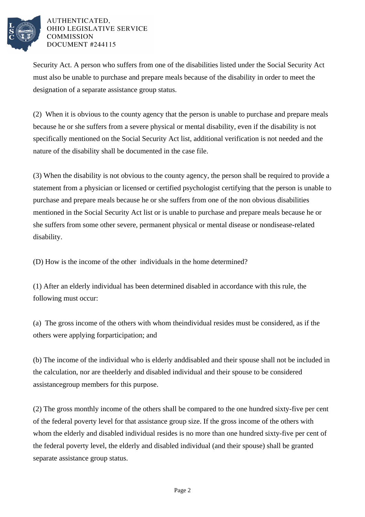

## AUTHENTICATED. OHIO LEGISLATIVE SERVICE **COMMISSION** DOCUMENT #244115

Security Act. A person who suffers from one of the disabilities listed under the Social Security Act must also be unable to purchase and prepare meals because of the disability in order to meet the designation of a separate assistance group status.

(2) When it is obvious to the county agency that the person is unable to purchase and prepare meals because he or she suffers from a severe physical or mental disability, even if the disability is not specifically mentioned on the Social Security Act list, additional verification is not needed and the nature of the disability shall be documented in the case file.

(3) When the disability is not obvious to the county agency, the person shall be required to provide a statement from a physician or licensed or certified psychologist certifying that the person is unable to purchase and prepare meals because he or she suffers from one of the non obvious disabilities mentioned in the Social Security Act list or is unable to purchase and prepare meals because he or she suffers from some other severe, permanent physical or mental disease or nondisease-related disability.

(D) How is the income of the other individuals in the home determined?

(1) After an elderly individual has been determined disabled in accordance with this rule, the following must occur:

(a) The gross income of the others with whom the individual resides must be considered, as if the others were applying for participation; and

(b) The income of the individual who is elderly and disabled and their spouse shall not be included in the calculation, nor are the elderly and disabled individual and their spouse to be considered assistance group members for this purpose.

(2) The gross monthly income of the others shall be compared to the one hundred sixty-five per cent of the federal poverty level for that assistance group size. If the gross income of the others with whom the elderly and disabled individual resides is no more than one hundred sixty-five per cent of the federal poverty level, the elderly and disabled individual (and their spouse) shall be granted separate assistance group status.